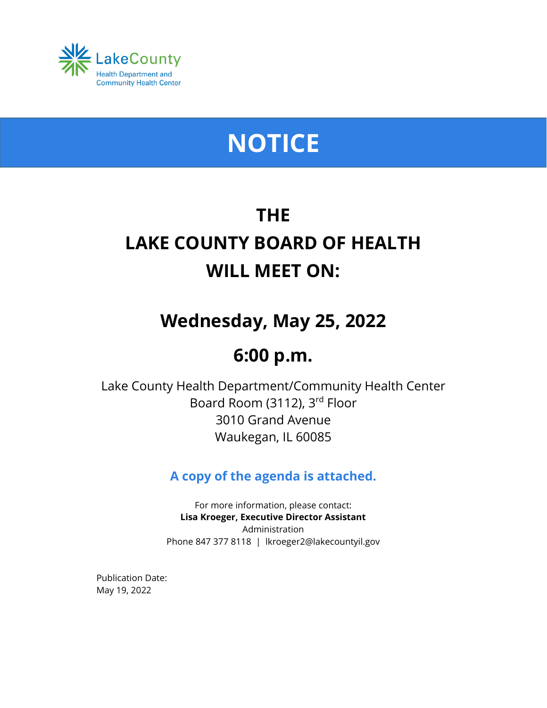

# **NOTICE**

## **THE LAKE COUNTY BOARD OF HEALTH WILL MEET ON:**

## **Wednesday, May 25, 2022**

## **6:00 p.m.**

Lake County Health Department/Community Health Center Board Room (3112), 3rd Floor 3010 Grand Avenue Waukegan, IL 60085

### **A copy of the agenda is attached.**

For more information, please contact: **Lisa Kroeger, Executive Director Assistant** Administration Phone 847 377 8118 | lkroeger2@lakecountyil.gov

Publication Date: May 19, 2022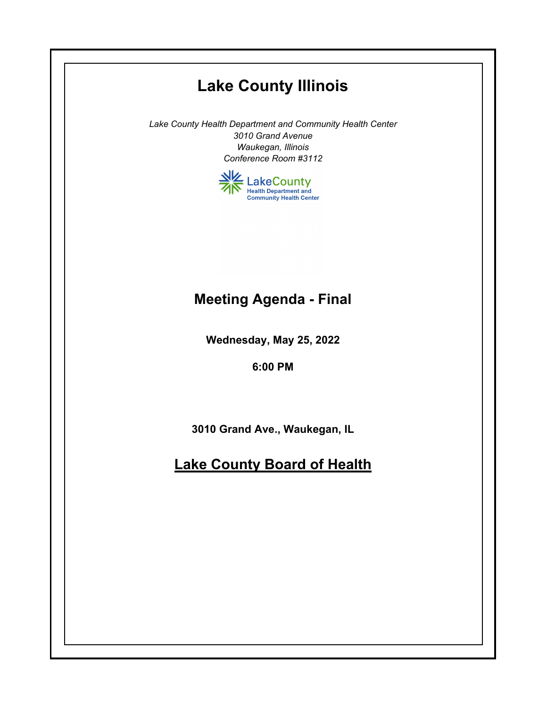## **Lake County Illinois**

*Lake County Health Department and Community Health Center 3010 Grand Avenue Waukegan, Illinois Conference Room #3112*



### **Meeting Agenda - Final**

**Wednesday, May 25, 2022**

**6:00 PM**

**3010 Grand Ave., Waukegan, IL**

### **Lake County Board of Health**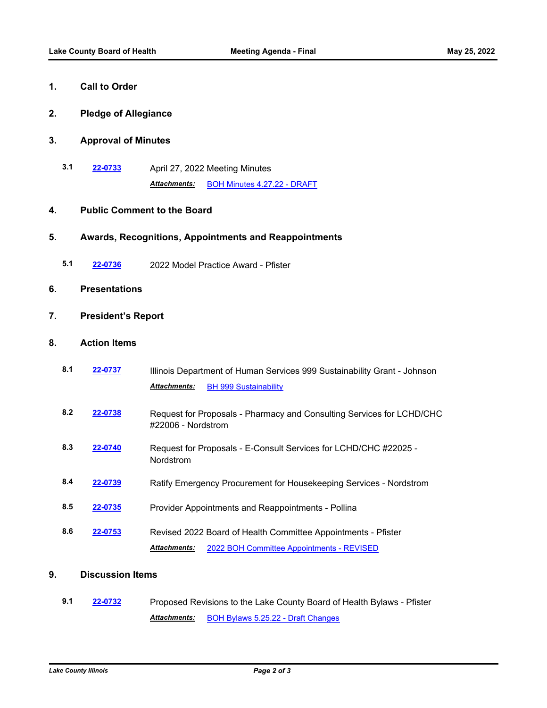#### **1. Call to Order**

**2. Pledge of Allegiance**

#### **3. Approval of Minutes**

**3.1 [22-0733](http://lakecounty.legistar.com/gateway.aspx?m=l&id=/matter.aspx?key=26520)** April 27, 2022 Meeting Minutes *Attachments:* [BOH Minutes 4.27.22 - DRAFT](http://lakecounty.legistar.com/gateway.aspx?M=F&ID=fdeb0ce1-18e3-4cfd-aed2-8156862133d0.pdf)

#### **4. Public Comment to the Board**

#### **5. Awards, Recognitions, Appointments and Reappointments**

**5.1 [22-0736](http://lakecounty.legistar.com/gateway.aspx?m=l&id=/matter.aspx?key=26523)** 2022 Model Practice Award - Pfister

#### **6. Presentations**

#### **7. President's Report**

#### **8. Action Items**

| 8.1 | 22-0737 | Illinois Department of Human Services 999 Sustainability Grant - Johnson                    |
|-----|---------|---------------------------------------------------------------------------------------------|
|     |         | <b>Attachments:</b><br><b>BH 999 Sustainability</b>                                         |
| 8.2 | 22-0738 | Request for Proposals - Pharmacy and Consulting Services for LCHD/CHC<br>#22006 - Nordstrom |
| 8.3 | 22-0740 | Request for Proposals - E-Consult Services for LCHD/CHC #22025 -<br><b>Nordstrom</b>        |
| 8.4 | 22-0739 | Ratify Emergency Procurement for Housekeeping Services - Nordstrom                          |
| 8.5 | 22-0735 | Provider Appointments and Reappointments - Pollina                                          |
| 8.6 | 22-0753 | Revised 2022 Board of Health Committee Appointments - Pfister                               |
|     |         | <b>Attachments:</b><br>2022 BOH Committee Appointments - REVISED                            |

#### **9. Discussion Items**

**9.1 [22-0732](http://lakecounty.legistar.com/gateway.aspx?m=l&id=/matter.aspx?key=26519)** Proposed Revisions to the Lake County Board of Health Bylaws - Pfister Attachments: **[BOH Bylaws 5.25.22 - Draft Changes](http://lakecounty.legistar.com/gateway.aspx?M=F&ID=f27f8a6c-dd9a-4963-a960-6cea436918e3.pdf)**